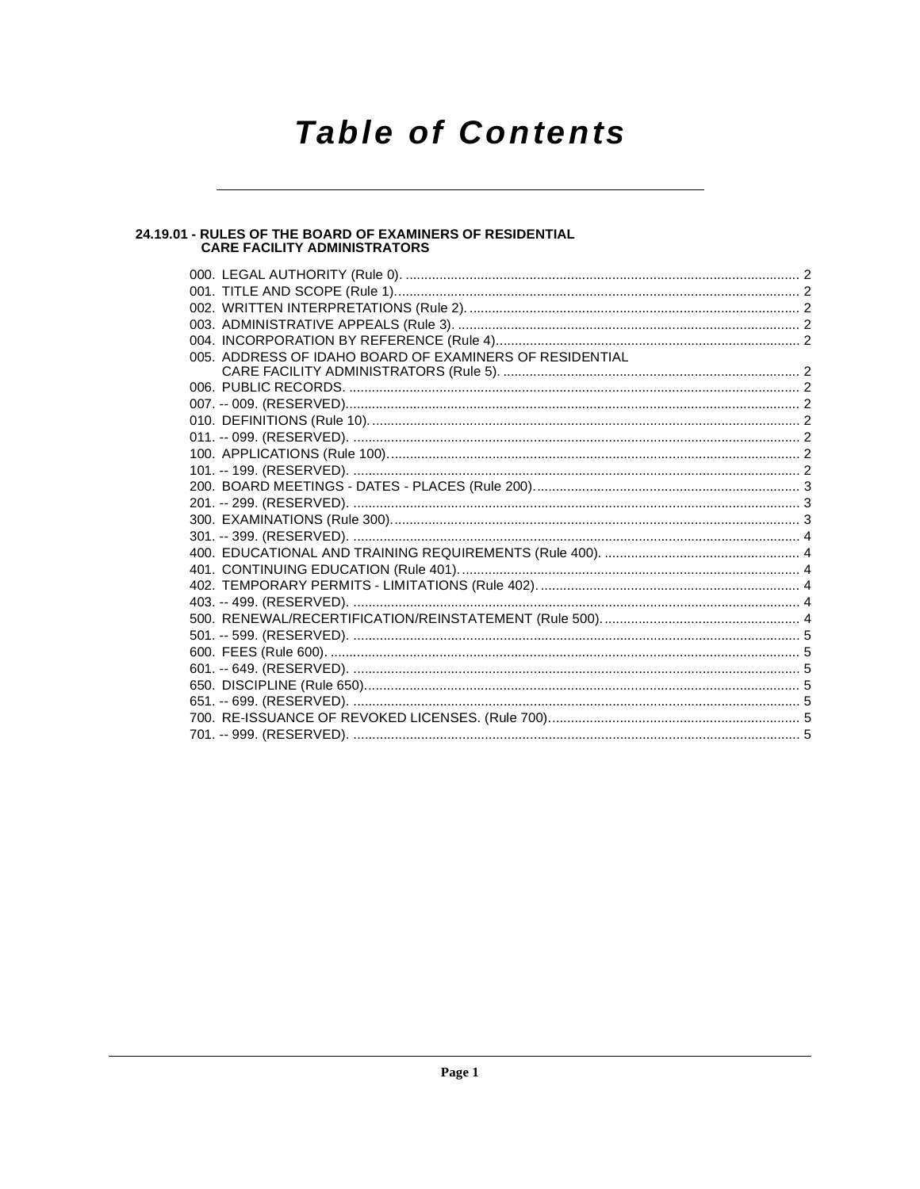## **Table of Contents**

## 24.19.01 - RULES OF THE BOARD OF EXAMINERS OF RESIDENTIAL<br>CARE FACILITY ADMINISTRATORS

| 005. ADDRESS OF IDAHO BOARD OF EXAMINERS OF RESIDENTIAL |  |
|---------------------------------------------------------|--|
|                                                         |  |
|                                                         |  |
|                                                         |  |
|                                                         |  |
|                                                         |  |
|                                                         |  |
|                                                         |  |
|                                                         |  |
|                                                         |  |
|                                                         |  |
|                                                         |  |
|                                                         |  |
|                                                         |  |
|                                                         |  |
|                                                         |  |
|                                                         |  |
|                                                         |  |
|                                                         |  |
|                                                         |  |
|                                                         |  |
|                                                         |  |
|                                                         |  |
|                                                         |  |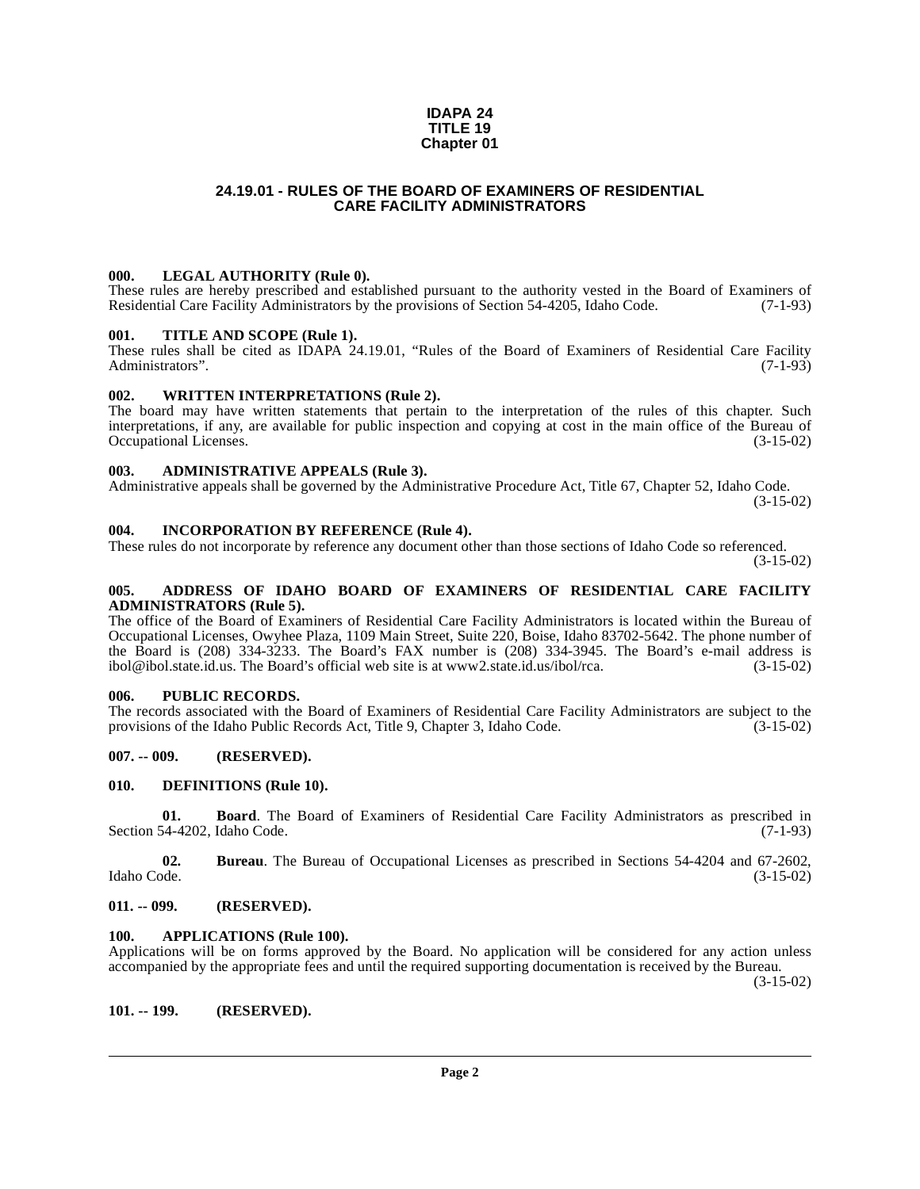### **IDAPA 24 TITLE 19 Chapter 01**

### **24.19.01 - RULES OF THE BOARD OF EXAMINERS OF RESIDENTIAL CARE FACILITY ADMINISTRATORS**

### <span id="page-1-1"></span><span id="page-1-0"></span>**000. LEGAL AUTHORITY (Rule 0).**

These rules are hereby prescribed and established pursuant to the authority vested in the Board of Examiners of Residential Care Facility Administrators by the provisions of Section 54-4205, Idaho Code. (7-1-93)

### <span id="page-1-2"></span>**001. TITLE AND SCOPE (Rule 1).**

These rules shall be cited as IDAPA 24.19.01, "Rules of the Board of Examiners of Residential Care Facility Administrators". Administrators".

### <span id="page-1-15"></span><span id="page-1-3"></span>**002. WRITTEN INTERPRETATIONS (Rule 2).**

The board may have written statements that pertain to the interpretation of the rules of this chapter. Such interpretations, if any, are available for public inspection and copying at cost in the main office of the Bureau of Occupational Licenses. (3-15-02) Occupational Licenses.

### <span id="page-1-4"></span>**003. ADMINISTRATIVE APPEALS (Rule 3).**

Administrative appeals shall be governed by the Administrative Procedure Act, Title 67, Chapter 52, Idaho Code.

(3-15-02)

### <span id="page-1-5"></span>**004. INCORPORATION BY REFERENCE (Rule 4).**

These rules do not incorporate by reference any document other than those sections of Idaho Code so referenced.

(3-15-02)

### <span id="page-1-6"></span>**005. ADDRESS OF IDAHO BOARD OF EXAMINERS OF RESIDENTIAL CARE FACILITY ADMINISTRATORS (Rule 5).**

[The office of the Board of Examiners of Residential Care Facility Administrators is located within the Bureau of](http://www2.state.id.us/ibol/rca) Occupational Licenses, Owyhee Plaza, 1109 Main Street, Suite 220, Boise, Idaho 83702-5642. The phone number of the Board is (208) 334-3233. The Board's FAX number is (208) 334-3945. The Board's e-mail address is ibol@ibol.state.id.us. The Board's official web site is at www2.state.id.us/ibol/rca. (3-15-02) ibol@ibol.state.id.us. The Board's official web site is at www2.state.id.us/ibol/rca.

### <span id="page-1-7"></span>**006. PUBLIC RECORDS.**

The records associated with the Board of Examiners of Residential Care Facility Administrators are subject to the provisions of the Idaho Public Records Act, Title 9, Chapter 3, Idaho Code. (3-15-02)

### <span id="page-1-8"></span>**007. -- 009. (RESERVED).**

### <span id="page-1-14"></span><span id="page-1-9"></span>**010. DEFINITIONS (Rule 10).**

**01. Board**. The Board of Examiners of Residential Care Facility Administrators as prescribed in (7-1-93) Section 54-4202, Idaho Code.

**02. Bureau**. The Bureau of Occupational Licenses as prescribed in Sections 54-4204 and 67-2602, Idaho Code. (3-15-02)

### <span id="page-1-10"></span>**011. -- 099. (RESERVED).**

### <span id="page-1-13"></span><span id="page-1-11"></span>**100. APPLICATIONS (Rule 100).**

Applications will be on forms approved by the Board. No application will be considered for any action unless accompanied by the appropriate fees and until the required supporting documentation is received by the Bureau.

(3-15-02)

<span id="page-1-12"></span>**101. -- 199. (RESERVED).**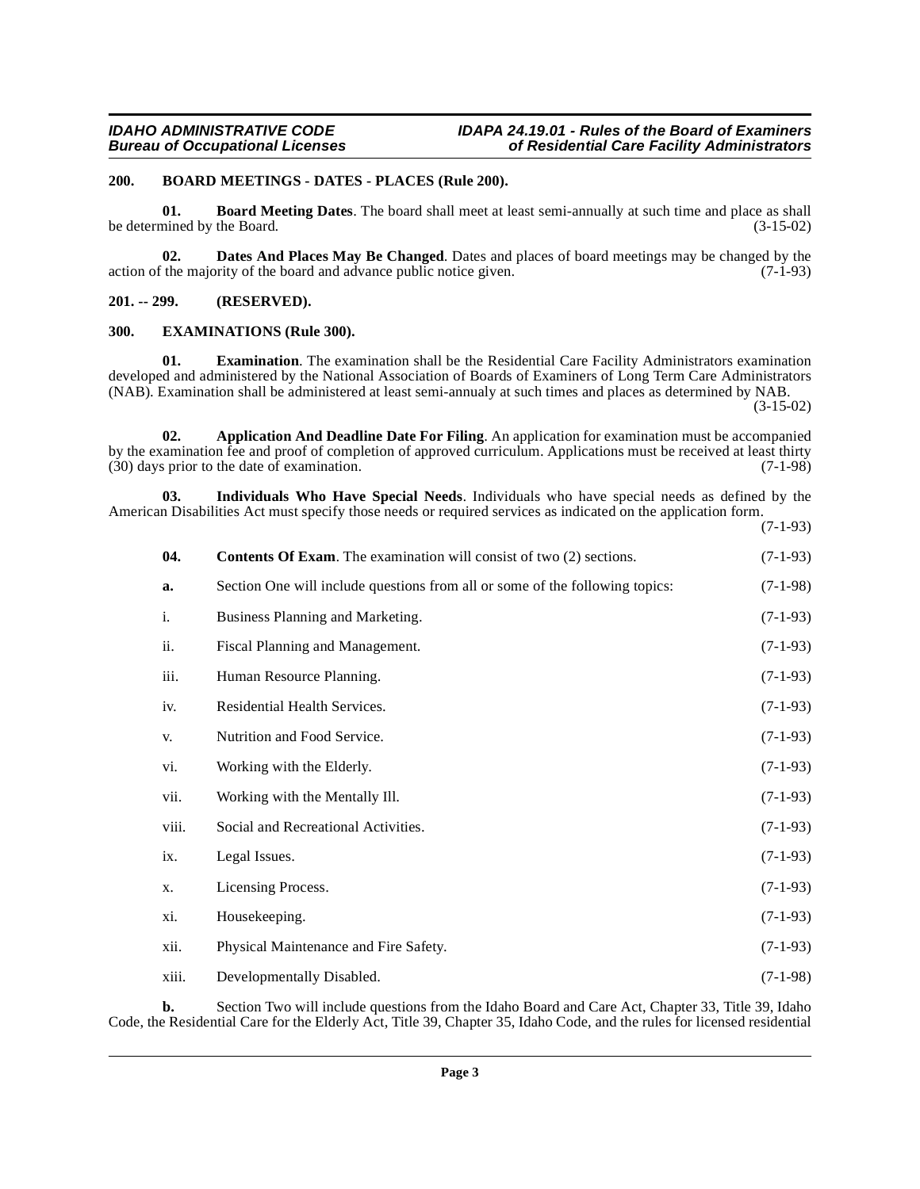### <span id="page-2-5"></span><span id="page-2-0"></span>**200. BOARD MEETINGS - DATES - PLACES (Rule 200).**

<span id="page-2-4"></span>**01. Board Meeting Dates**. The board shall meet at least semi-annually at such time and place as shall be determined by the Board.  $(3-15-02)$ 

<span id="page-2-7"></span>**02. Dates And Places May Be Changed**. Dates and places of board meetings may be changed by the relation of the board and advance public notice given. (7-1-93) action of the majority of the board and advance public notice given.

<span id="page-2-1"></span>**201. -- 299. (RESERVED).**

### <span id="page-2-8"></span><span id="page-2-2"></span>**300. EXAMINATIONS (Rule 300).**

**01. Examination**. The examination shall be the Residential Care Facility Administrators examination developed and administered by the National Association of Boards of Examiners of Long Term Care Administrators (NAB). Examination shall be administered at least semi-annualy at such times and places as determined by NAB.

 $(3-15-02)$ 

<span id="page-2-3"></span>**02. Application And Deadline Date For Filing**. An application for examination must be accompanied by the examination fee and proof of completion of approved curriculum. Applications must be received at least thirty (30) days prior to the date of examination. (7-1-98)  $(30)$  days prior to the date of examination.

**03. Individuals Who Have Special Needs**. Individuals who have special needs as defined by the American Disabilities Act must specify those needs or required services as indicated on the application form. (7-1-93)

<span id="page-2-9"></span><span id="page-2-6"></span>

| 04.            | <b>Contents Of Exam.</b> The examination will consist of two (2) sections.   | $(7-1-93)$ |
|----------------|------------------------------------------------------------------------------|------------|
| a.             | Section One will include questions from all or some of the following topics: | $(7-1-98)$ |
| $\mathbf{i}$ . | Business Planning and Marketing.                                             | $(7-1-93)$ |
| ii.            | Fiscal Planning and Management.                                              | $(7-1-93)$ |
| iii.           | Human Resource Planning.                                                     | $(7-1-93)$ |
| iv.            | Residential Health Services.                                                 | $(7-1-93)$ |
| V.             | Nutrition and Food Service.                                                  | $(7-1-93)$ |
| vi.            | Working with the Elderly.                                                    | $(7-1-93)$ |
| vii.           | Working with the Mentally Ill.                                               | $(7-1-93)$ |
| viii.          | Social and Recreational Activities.                                          | $(7-1-93)$ |
| ix.            | Legal Issues.                                                                | $(7-1-93)$ |
| X.             | Licensing Process.                                                           | $(7-1-93)$ |
| xi.            | Housekeeping.                                                                | $(7-1-93)$ |
| xii.           | Physical Maintenance and Fire Safety.                                        | $(7-1-93)$ |
| xiii.          | Developmentally Disabled.                                                    | $(7-1-98)$ |

**b.** Section Two will include questions from the Idaho Board and Care Act, Chapter 33, Title 39, Idaho Code, the Residential Care for the Elderly Act, Title 39, Chapter 35, Idaho Code, and the rules for licensed residential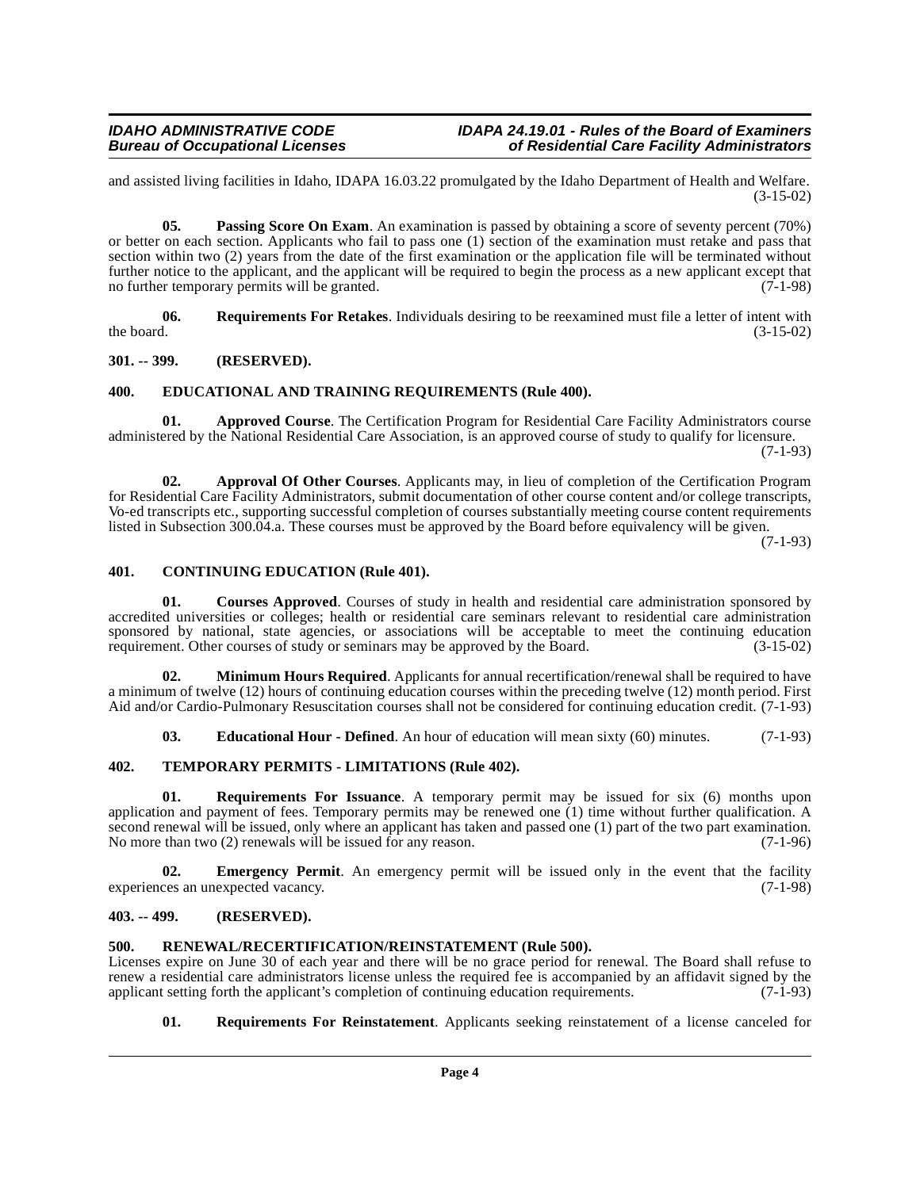and assisted living facilities in Idaho, IDAPA 16.03.22 promulgated by the Idaho Department of Health and Welfare.  $(3-15-02)$ 

<span id="page-3-13"></span>**05. Passing Score On Exam**. An examination is passed by obtaining a score of seventy percent (70%) or better on each section. Applicants who fail to pass one (1) section of the examination must retake and pass that section within two (2) years from the date of the first examination or the application file will be terminated without further notice to the applicant, and the applicant will be required to begin the process as a new applicant except that no further temporary permits will be granted. (7-1-98) no further temporary permits will be granted.

<span id="page-3-17"></span>**06.** Requirements For Retakes. Individuals desiring to be reexamined must file a letter of intent with the board.  $(3-15-02)$ the board.  $(3-15-02)$ 

### <span id="page-3-0"></span>**301. -- 399. (RESERVED).**

### <span id="page-3-10"></span><span id="page-3-1"></span>**400. EDUCATIONAL AND TRAINING REQUIREMENTS (Rule 400).**

<span id="page-3-7"></span>**01. Approved Course**. The Certification Program for Residential Care Facility Administrators course administered by the National Residential Care Association, is an approved course of study to qualify for licensure.

(7-1-93)

<span id="page-3-6"></span>**02. Approval Of Other Courses**. Applicants may, in lieu of completion of the Certification Program for Residential Care Facility Administrators, submit documentation of other course content and/or college transcripts, Vo-ed transcripts etc., supporting successful completion of courses substantially meeting course content requirements listed in Subsection 300.04.a. These courses must be approved by the Board before equivalency will be given.

(7-1-93)

### <span id="page-3-8"></span><span id="page-3-2"></span>**401. CONTINUING EDUCATION (Rule 401).**

<span id="page-3-9"></span>**01. Courses Approved**. Courses of study in health and residential care administration sponsored by accredited universities or colleges; health or residential care seminars relevant to residential care administration sponsored by national, state agencies, or associations will be acceptable to meet the continuing education requirement. Other courses of study or seminars may be approved by the Board. (3-15-02) requirement. Other courses of study or seminars may be approved by the Board.

**02. Minimum Hours Required**. Applicants for annual recertification/renewal shall be required to have a minimum of twelve (12) hours of continuing education courses within the preceding twelve (12) month period. First Aid and/or Cardio-Pulmonary Resuscitation courses shall not be considered for continuing education credit. (7-1-93)

<span id="page-3-18"></span><span id="page-3-15"></span><span id="page-3-11"></span>**03. Educational Hour - Defined**. An hour of education will mean sixty (60) minutes. (7-1-93)

### <span id="page-3-3"></span>**402. TEMPORARY PERMITS - LIMITATIONS (Rule 402).**

**01. Requirements For Issuance**. A temporary permit may be issued for six (6) months upon application and payment of fees. Temporary permits may be renewed one (1) time without further qualification. A second renewal will be issued, only where an applicant has taken and passed one (1) part of the two part examination. No more than two  $(2)$  renewals will be issued for any reason. (7-1-96)

<span id="page-3-12"></span>**02.** Emergency Permit. An emergency permit will be issued only in the event that the facility experiences an unexpected vacancy. (7-1-98)

### <span id="page-3-4"></span>**403. -- 499. (RESERVED).**

### <span id="page-3-14"></span><span id="page-3-5"></span>**500. RENEWAL/RECERTIFICATION/REINSTATEMENT (Rule 500).**

Licenses expire on June 30 of each year and there will be no grace period for renewal. The Board shall refuse to renew a residential care administrators license unless the required fee is accompanied by an affidavit signed by the applicant setting forth the applicant's completion of continuing education requirements. (7-1-93) applicant setting forth the applicant's completion of continuing education requirements.

### <span id="page-3-16"></span>**01. Requirements For Reinstatement**. Applicants seeking reinstatement of a license canceled for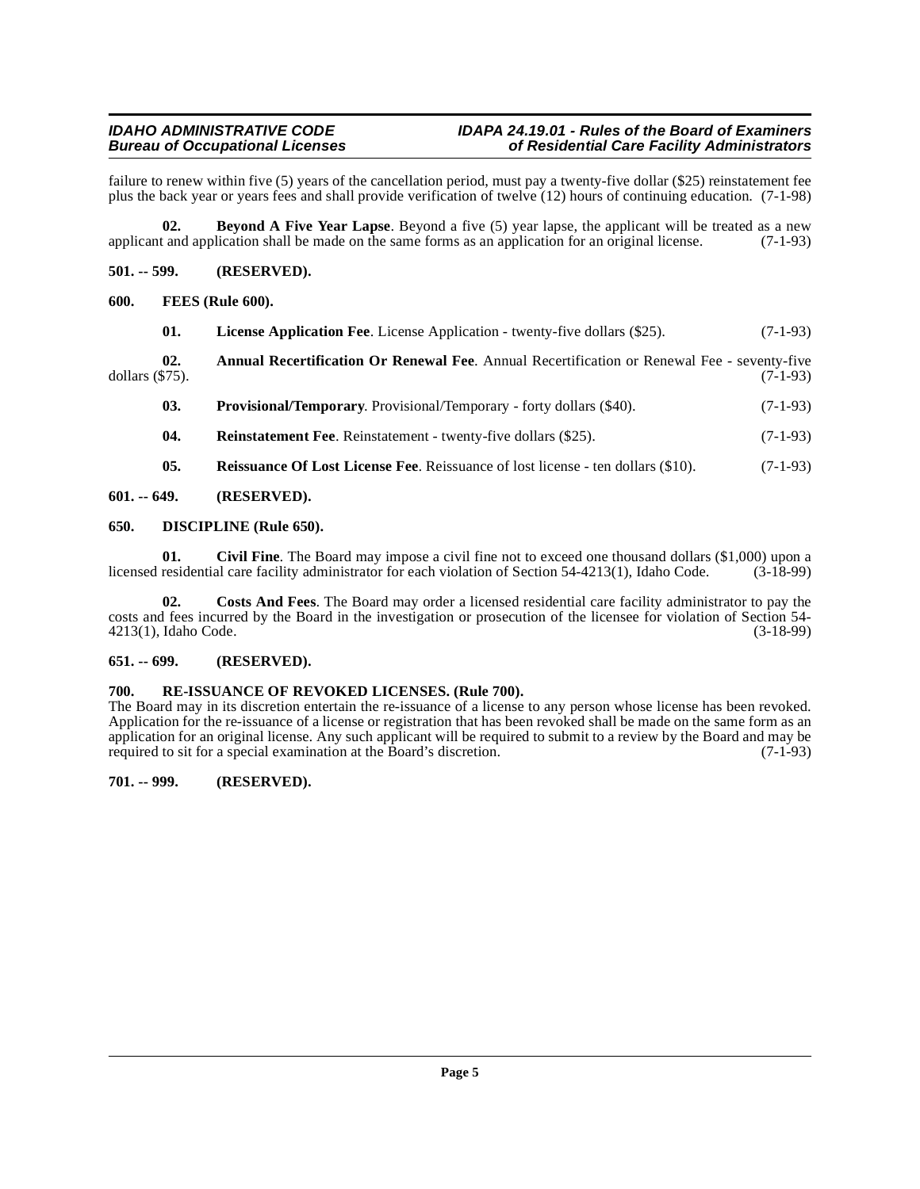### **IDAHO ADMINISTRATIVE CODE IDAPA 24.19.01 - Rules of the Board of Examiners bureau Gare Facility Administrators**

failure to renew within five (5) years of the cancellation period, must pay a twenty-five dollar (\$25) reinstatement fee plus the back year or years fees and shall provide verification of twelve (12) hours of continuing education. (7-1-98)

<span id="page-4-8"></span>**02. Beyond A Five Year Lapse**. Beyond a five (5) year lapse, the applicant will be treated as a new applicant and application shall be made on the same forms as an application for an original license. (7-1-93)

### <span id="page-4-0"></span>**501. -- 599. (RESERVED).**

### <span id="page-4-12"></span><span id="page-4-1"></span>**600. FEES (Rule 600).**

| 01.                    | <b>License Application Fee.</b> License Application - twenty-five dollars (\$25).                  | $(7-1-93)$ |
|------------------------|----------------------------------------------------------------------------------------------------|------------|
| 02.<br>dollars (\$75). | <b>Annual Recertification Or Renewal Fee.</b> Annual Recertification or Renewal Fee - seventy-five | $(7-1-93)$ |

<span id="page-4-14"></span><span id="page-4-13"></span><span id="page-4-7"></span>**03. Provisional/Temporary**. Provisional/Temporary - forty dollars (\$40). (7-1-93)

<span id="page-4-17"></span><span id="page-4-15"></span>**04.** Reinstatement Fee. Reinstatement - twenty-five dollars (\$25). (7-1-93)

<span id="page-4-11"></span><span id="page-4-9"></span>**05. Reissuance Of Lost License Fee**. Reissuance of lost license - ten dollars (\$10). (7-1-93)

<span id="page-4-2"></span>**601. -- 649. (RESERVED).**

### <span id="page-4-3"></span>**650. DISCIPLINE (Rule 650).**

**01.** Civil Fine. The Board may impose a civil fine not to exceed one thousand dollars (\$1,000) upon a residential care facility administrator for each violation of Section 54-4213(1). Idaho Code. (3-18-99) licensed residential care facility administrator for each violation of Section 54-4213(1), Idaho Code.

<span id="page-4-10"></span>**02. Costs And Fees**. The Board may order a licensed residential care facility administrator to pay the costs and fees incurred by the Board in the investigation or prosecution of the licensee for violation of Section 54-<br>4213(1), Idaho Code. (3-18-99) 4213(1), Idaho Code.

### <span id="page-4-4"></span>**651. -- 699. (RESERVED).**

### <span id="page-4-16"></span><span id="page-4-5"></span>**700. RE-ISSUANCE OF REVOKED LICENSES. (Rule 700).**

The Board may in its discretion entertain the re-issuance of a license to any person whose license has been revoked. Application for the re-issuance of a license or registration that has been revoked shall be made on the same form as an application for an original license. Any such applicant will be required to submit to a review by the Board and may be required to sit for a special examination at the Board's discretion. (7-1-93)

### <span id="page-4-6"></span>**701. -- 999. (RESERVED).**